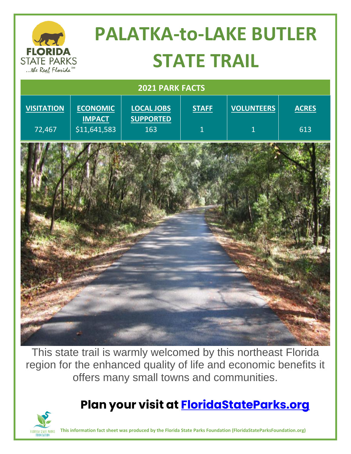

This state trail is warmly welcomed by this northeast Florida region for the enhanced quality of life and economic benefits it offers many small towns and communities.

## **Plan your visit at [FloridaStateParks.org](http://www.floridastateparks.org/)**



**This information fact sheet was produced by the Florida State Parks Foundation (FloridaStateParksFoundation.org)**